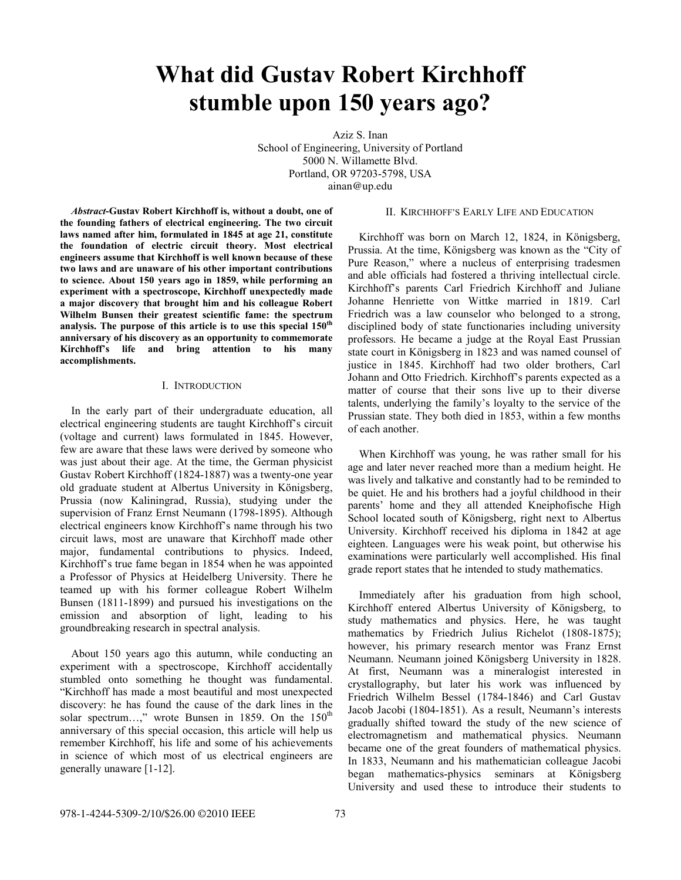# **What did Gustav Robert Kirchhoff stumble upon 150 years ago?**

Aziz S. Inan School of Engineering, University of Portland 5000 N. Willamette Blvd. Portland, OR 97203-5798, USA ainan@up.edu

*Abstract***-Gustav Robert Kirchhoff is, without a doubt, one of the founding fathers of electrical engineering. The two circuit laws named after him, formulated in 1845 at age 21, constitute the foundation of electric circuit theory. Most electrical engineers assume that Kirchhoff is well known because of these two laws and are unaware of his other important contributions to science. About 150 years ago in 1859, while performing an experiment with a spectroscope, Kirchhoff unexpectedly made a major discovery that brought him and his colleague Robert Wilhelm Bunsen their greatest scientific fame: the spectrum analysis. The purpose of this article is to use this special 150th anniversary of his discovery as an opportunity to commemorate Kirchhoff's life and bring attention to his many accomplishments.** 

#### I. INTRODUCTION

In the early part of their undergraduate education, all electrical engineering students are taught Kirchhoff's circuit (voltage and current) laws formulated in 1845. However, few are aware that these laws were derived by someone who was just about their age. At the time, the German physicist Gustav Robert Kirchhoff (1824-1887) was a twenty-one year old graduate student at Albertus University in Königsberg, Prussia (now Kaliningrad, Russia), studying under the supervision of Franz Ernst Neumann (1798-1895). Although electrical engineers know Kirchhoff's name through his two circuit laws, most are unaware that Kirchhoff made other major, fundamental contributions to physics. Indeed, Kirchhoff's true fame began in 1854 when he was appointed a Professor of Physics at Heidelberg University. There he teamed up with his former colleague Robert Wilhelm Bunsen (1811-1899) and pursued his investigations on the emission and absorption of light, leading to his groundbreaking research in spectral analysis.

About 150 years ago this autumn, while conducting an experiment with a spectroscope, Kirchhoff accidentally stumbled onto something he thought was fundamental. "Kirchhoff has made a most beautiful and most unexpected discovery: he has found the cause of the dark lines in the solar spectrum...," wrote Bunsen in 1859. On the  $150<sup>th</sup>$ anniversary of this special occasion, this article will help us remember Kirchhoff, his life and some of his achievements in science of which most of us electrical engineers are generally unaware [1-12].

### II. KIRCHHOFF'S EARLY LIFE AND EDUCATION

Kirchhoff was born on March 12, 1824, in Königsberg, Prussia. At the time, Königsberg was known as the "City of Pure Reason," where a nucleus of enterprising tradesmen and able officials had fostered a thriving intellectual circle. Kirchhoff's parents Carl Friedrich Kirchhoff and Juliane Johanne Henriette von Wittke married in 1819. Carl Friedrich was a law counselor who belonged to a strong, disciplined body of state functionaries including university professors. He became a judge at the Royal East Prussian state court in Königsberg in 1823 and was named counsel of justice in 1845. Kirchhoff had two older brothers, Carl Johann and Otto Friedrich. Kirchhoff's parents expected as a matter of course that their sons live up to their diverse talents, underlying the family's loyalty to the service of the Prussian state. They both died in 1853, within a few months of each another.

When Kirchhoff was young, he was rather small for his age and later never reached more than a medium height. He was lively and talkative and constantly had to be reminded to be quiet. He and his brothers had a joyful childhood in their parents' home and they all attended Kneiphofische High School located south of Königsberg, right next to Albertus University. Kirchhoff received his diploma in 1842 at age eighteen. Languages were his weak point, but otherwise his examinations were particularly well accomplished. His final grade report states that he intended to study mathematics.

Immediately after his graduation from high school, Kirchhoff entered Albertus University of Königsberg, to study mathematics and physics. Here, he was taught mathematics by Friedrich Julius Richelot (1808-1875); however, his primary research mentor was Franz Ernst Neumann. Neumann joined Königsberg University in 1828. At first, Neumann was a mineralogist interested in crystallography, but later his work was influenced by Friedrich Wilhelm Bessel (1784-1846) and Carl Gustav Jacob Jacobi (1804-1851). As a result, Neumann's interests gradually shifted toward the study of the new science of electromagnetism and mathematical physics. Neumann became one of the great founders of mathematical physics. In 1833, Neumann and his mathematician colleague Jacobi began mathematics-physics seminars at Königsberg University and used these to introduce their students to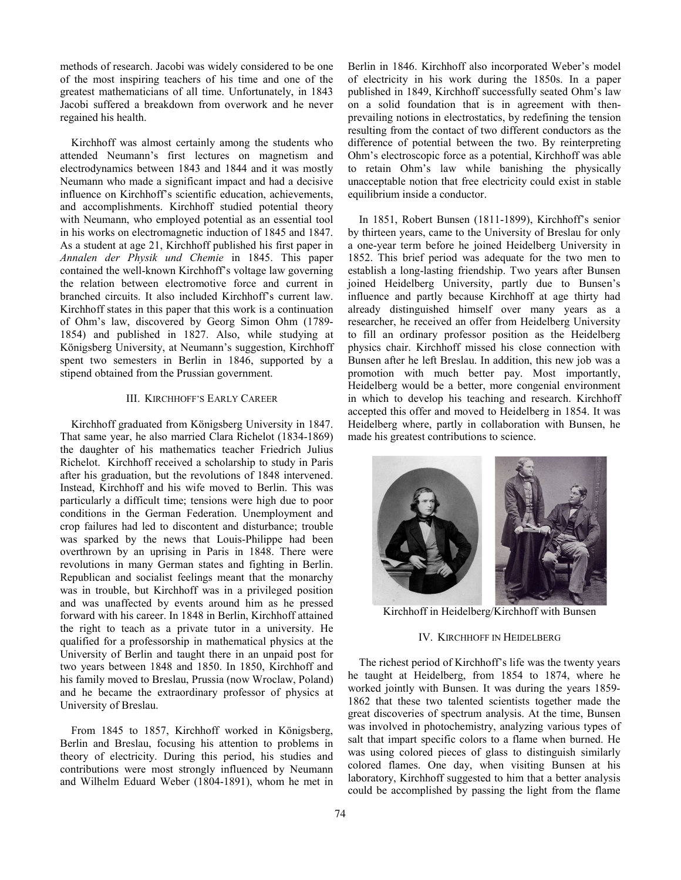methods of research. Jacobi was widely considered to be one of the most inspiring teachers of his time and one of the greatest mathematicians of all time. Unfortunately, in 1843 Jacobi suffered a breakdown from overwork and he never regained his health.

Kirchhoff was almost certainly among the students who attended Neumann's first lectures on magnetism and electrodynamics between 1843 and 1844 and it was mostly Neumann who made a significant impact and had a decisive influence on Kirchhoff's scientific education, achievements, and accomplishments. Kirchhoff studied potential theory with Neumann, who employed potential as an essential tool in his works on electromagnetic induction of 1845 and 1847. As a student at age 21, Kirchhoff published his first paper in *Annalen der Physik und Chemie* in 1845. This paper contained the well-known Kirchhoff's voltage law governing the relation between electromotive force and current in branched circuits. It also included Kirchhoff's current law. Kirchhoff states in this paper that this work is a continuation of Ohm's law, discovered by Georg Simon Ohm (1789- 1854) and published in 1827. Also, while studying at Königsberg University, at Neumann's suggestion, Kirchhoff spent two semesters in Berlin in 1846, supported by a stipend obtained from the Prussian government.

#### III. KIRCHHOFF'S EARLY CAREER

Kirchhoff graduated from Königsberg University in 1847. That same year, he also married Clara Richelot (1834-1869) the daughter of his mathematics teacher Friedrich Julius Richelot. Kirchhoff received a scholarship to study in Paris after his graduation, but the revolutions of 1848 intervened. Instead, Kirchhoff and his wife moved to Berlin. This was particularly a difficult time; tensions were high due to poor conditions in the German Federation. Unemployment and crop failures had led to discontent and disturbance; trouble was sparked by the news that Louis-Philippe had been overthrown by an uprising in Paris in 1848. There were revolutions in many German states and fighting in Berlin. Republican and socialist feelings meant that the monarchy was in trouble, but Kirchhoff was in a privileged position and was unaffected by events around him as he pressed forward with his career. In 1848 in Berlin, Kirchhoff attained the right to teach as a private tutor in a university. He qualified for a professorship in mathematical physics at the University of Berlin and taught there in an unpaid post for two years between 1848 and 1850. In 1850, Kirchhoff and his family moved to Breslau, Prussia (now Wroclaw, Poland) and he became the extraordinary professor of physics at University of Breslau.

From 1845 to 1857, Kirchhoff worked in Königsberg, Berlin and Breslau, focusing his attention to problems in theory of electricity. During this period, his studies and contributions were most strongly influenced by Neumann and Wilhelm Eduard Weber (1804-1891), whom he met in Berlin in 1846. Kirchhoff also incorporated Weber's model of electricity in his work during the 1850s. In a paper published in 1849, Kirchhoff successfully seated Ohm's law on a solid foundation that is in agreement with thenprevailing notions in electrostatics, by redefining the tension resulting from the contact of two different conductors as the difference of potential between the two. By reinterpreting Ohm's electroscopic force as a potential, Kirchhoff was able to retain Ohm's law while banishing the physically unacceptable notion that free electricity could exist in stable equilibrium inside a conductor.

In 1851, Robert Bunsen (1811-1899), Kirchhoff's senior by thirteen years, came to the University of Breslau for only a one-year term before he joined Heidelberg University in 1852. This brief period was adequate for the two men to establish a long-lasting friendship. Two years after Bunsen joined Heidelberg University, partly due to Bunsen's influence and partly because Kirchhoff at age thirty had already distinguished himself over many years as a researcher, he received an offer from Heidelberg University to fill an ordinary professor position as the Heidelberg physics chair. Kirchhoff missed his close connection with Bunsen after he left Breslau. In addition, this new job was a promotion with much better pay. Most importantly, Heidelberg would be a better, more congenial environment in which to develop his teaching and research. Kirchhoff accepted this offer and moved to Heidelberg in 1854. It was Heidelberg where, partly in collaboration with Bunsen, he made his greatest contributions to science.



Kirchhoff in Heidelberg/Kirchhoff with Bunsen

#### IV. KIRCHHOFF IN HEIDELBERG

The richest period of Kirchhoff's life was the twenty years he taught at Heidelberg, from 1854 to 1874, where he worked jointly with Bunsen. It was during the years 1859- 1862 that these two talented scientists together made the great discoveries of spectrum analysis. At the time, Bunsen was involved in photochemistry, analyzing various types of salt that impart specific colors to a flame when burned. He was using colored pieces of glass to distinguish similarly colored flames. One day, when visiting Bunsen at his laboratory, Kirchhoff suggested to him that a better analysis could be accomplished by passing the light from the flame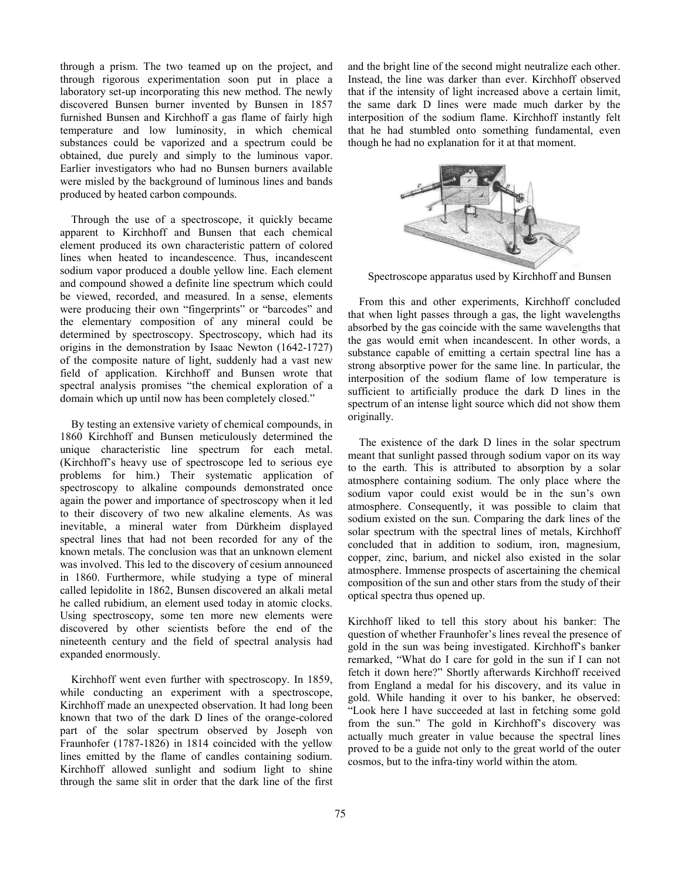through a prism. The two teamed up on the project, and through rigorous experimentation soon put in place a laboratory set-up incorporating this new method. The newly discovered Bunsen burner invented by Bunsen in 1857 furnished Bunsen and Kirchhoff a gas flame of fairly high temperature and low luminosity, in which chemical substances could be vaporized and a spectrum could be obtained, due purely and simply to the luminous vapor. Earlier investigators who had no Bunsen burners available were misled by the background of luminous lines and bands produced by heated carbon compounds.

Through the use of a spectroscope, it quickly became apparent to Kirchhoff and Bunsen that each chemical element produced its own characteristic pattern of colored lines when heated to incandescence. Thus, incandescent sodium vapor produced a double yellow line. Each element and compound showed a definite line spectrum which could be viewed, recorded, and measured. In a sense, elements were producing their own "fingerprints" or "barcodes" and the elementary composition of any mineral could be determined by spectroscopy. Spectroscopy, which had its origins in the demonstration by Isaac Newton (1642-1727) of the composite nature of light, suddenly had a vast new field of application. Kirchhoff and Bunsen wrote that spectral analysis promises "the chemical exploration of a domain which up until now has been completely closed."

By testing an extensive variety of chemical compounds, in 1860 Kirchhoff and Bunsen meticulously determined the unique characteristic line spectrum for each metal. (Kirchhoff's heavy use of spectroscope led to serious eye problems for him.) Their systematic application of spectroscopy to alkaline compounds demonstrated once again the power and importance of spectroscopy when it led to their discovery of two new alkaline elements. As was inevitable, a mineral water from Dürkheim displayed spectral lines that had not been recorded for any of the known metals. The conclusion was that an unknown element was involved. This led to the discovery of cesium announced in 1860. Furthermore, while studying a type of mineral called lepidolite in 1862, Bunsen discovered an alkali metal he called rubidium, an element used today in atomic clocks. Using spectroscopy, some ten more new elements were discovered by other scientists before the end of the nineteenth century and the field of spectral analysis had expanded enormously.

Kirchhoff went even further with spectroscopy. In 1859, while conducting an experiment with a spectroscope, Kirchhoff made an unexpected observation. It had long been known that two of the dark D lines of the orange-colored part of the solar spectrum observed by Joseph von Fraunhofer (1787-1826) in 1814 coincided with the yellow lines emitted by the flame of candles containing sodium. Kirchhoff allowed sunlight and sodium light to shine through the same slit in order that the dark line of the first and the bright line of the second might neutralize each other. Instead, the line was darker than ever. Kirchhoff observed that if the intensity of light increased above a certain limit, the same dark D lines were made much darker by the interposition of the sodium flame. Kirchhoff instantly felt that he had stumbled onto something fundamental, even though he had no explanation for it at that moment.



Spectroscope apparatus used by Kirchhoff and Bunsen

From this and other experiments, Kirchhoff concluded that when light passes through a gas, the light wavelengths absorbed by the gas coincide with the same wavelengths that the gas would emit when incandescent. In other words, a substance capable of emitting a certain spectral line has a strong absorptive power for the same line. In particular, the interposition of the sodium flame of low temperature is sufficient to artificially produce the dark D lines in the spectrum of an intense light source which did not show them originally.

The existence of the dark D lines in the solar spectrum meant that sunlight passed through sodium vapor on its way to the earth. This is attributed to absorption by a solar atmosphere containing sodium. The only place where the sodium vapor could exist would be in the sun's own atmosphere. Consequently, it was possible to claim that sodium existed on the sun. Comparing the dark lines of the solar spectrum with the spectral lines of metals, Kirchhoff concluded that in addition to sodium, iron, magnesium, copper, zinc, barium, and nickel also existed in the solar atmosphere. Immense prospects of ascertaining the chemical composition of the sun and other stars from the study of their optical spectra thus opened up.

Kirchhoff liked to tell this story about his banker: The question of whether Fraunhofer's lines reveal the presence of gold in the sun was being investigated. Kirchhoff's banker remarked, "What do I care for gold in the sun if I can not fetch it down here?" Shortly afterwards Kirchhoff received from England a medal for his discovery, and its value in gold. While handing it over to his banker, he observed: "Look here I have succeeded at last in fetching some gold from the sun." The gold in Kirchhoff's discovery was actually much greater in value because the spectral lines proved to be a guide not only to the great world of the outer cosmos, but to the infra-tiny world within the atom.